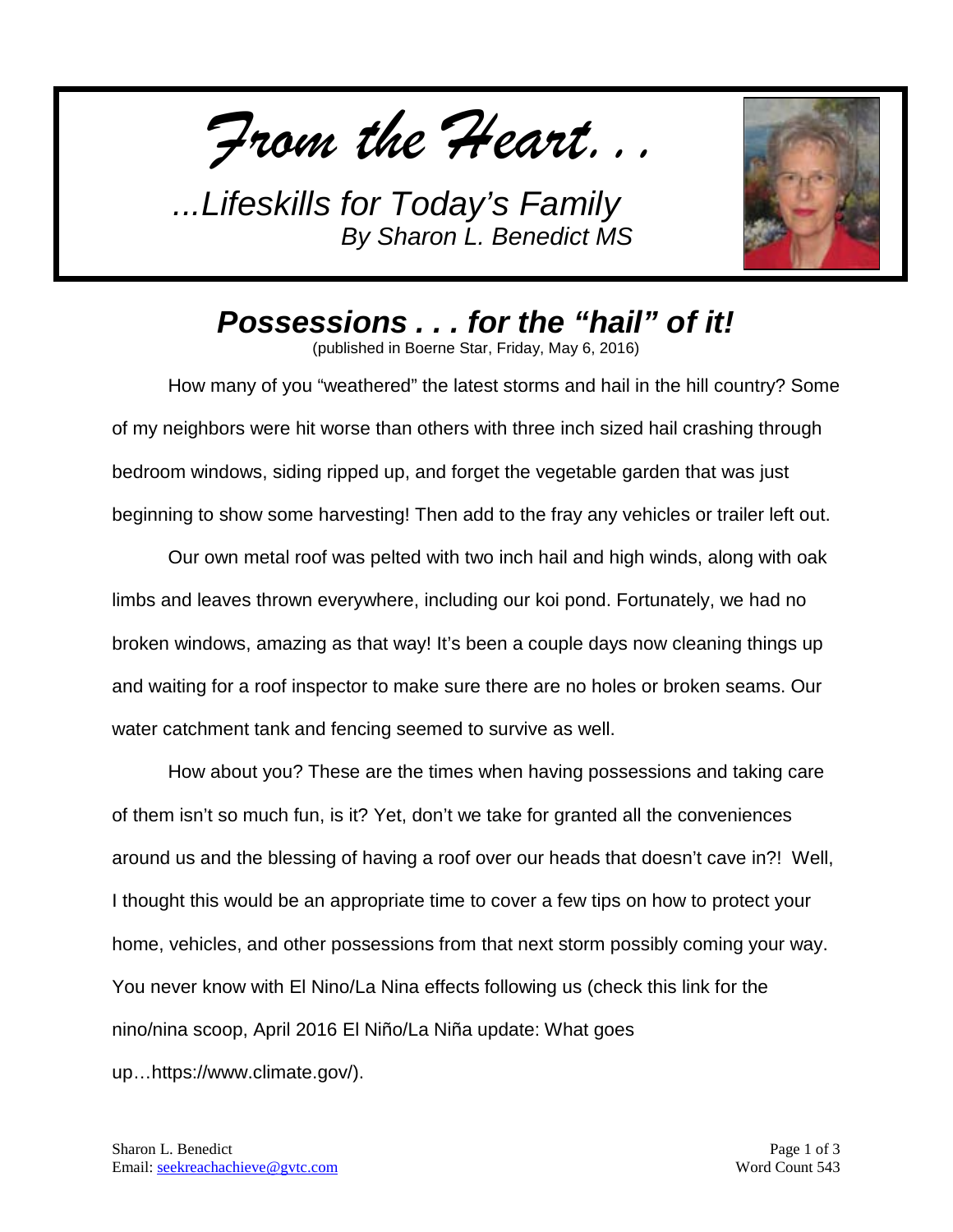*From the Heart...*



*Possessions . . . for the "hail" of it!*

(published in Boerne Star, Friday, May 6, 2016)

How many of you "weathered" the latest storms and hail in the hill country? Some of my neighbors were hit worse than others with three inch sized hail crashing through bedroom windows, siding ripped up, and forget the vegetable garden that was just beginning to show some harvesting! Then add to the fray any vehicles or trailer left out.

Our own metal roof was pelted with two inch hail and high winds, along with oak limbs and leaves thrown everywhere, including our koi pond. Fortunately, we had no broken windows, amazing as that way! It's been a couple days now cleaning things up and waiting for a roof inspector to make sure there are no holes or broken seams. Our water catchment tank and fencing seemed to survive as well.

How about you? These are the times when having possessions and taking care of them isn't so much fun, is it? Yet, don't we take for granted all the conveniences around us and the blessing of having a roof over our heads that doesn't cave in?! Well, I thought this would be an appropriate time to cover a few tips on how to protect your home, vehicles, and other possessions from that next storm possibly coming your way. You never know with El Nino/La Nina effects following us (check this link for the nino/nina scoop, April 2016 El Niño/La Niña update: What goes up…https://www.climate.gov/).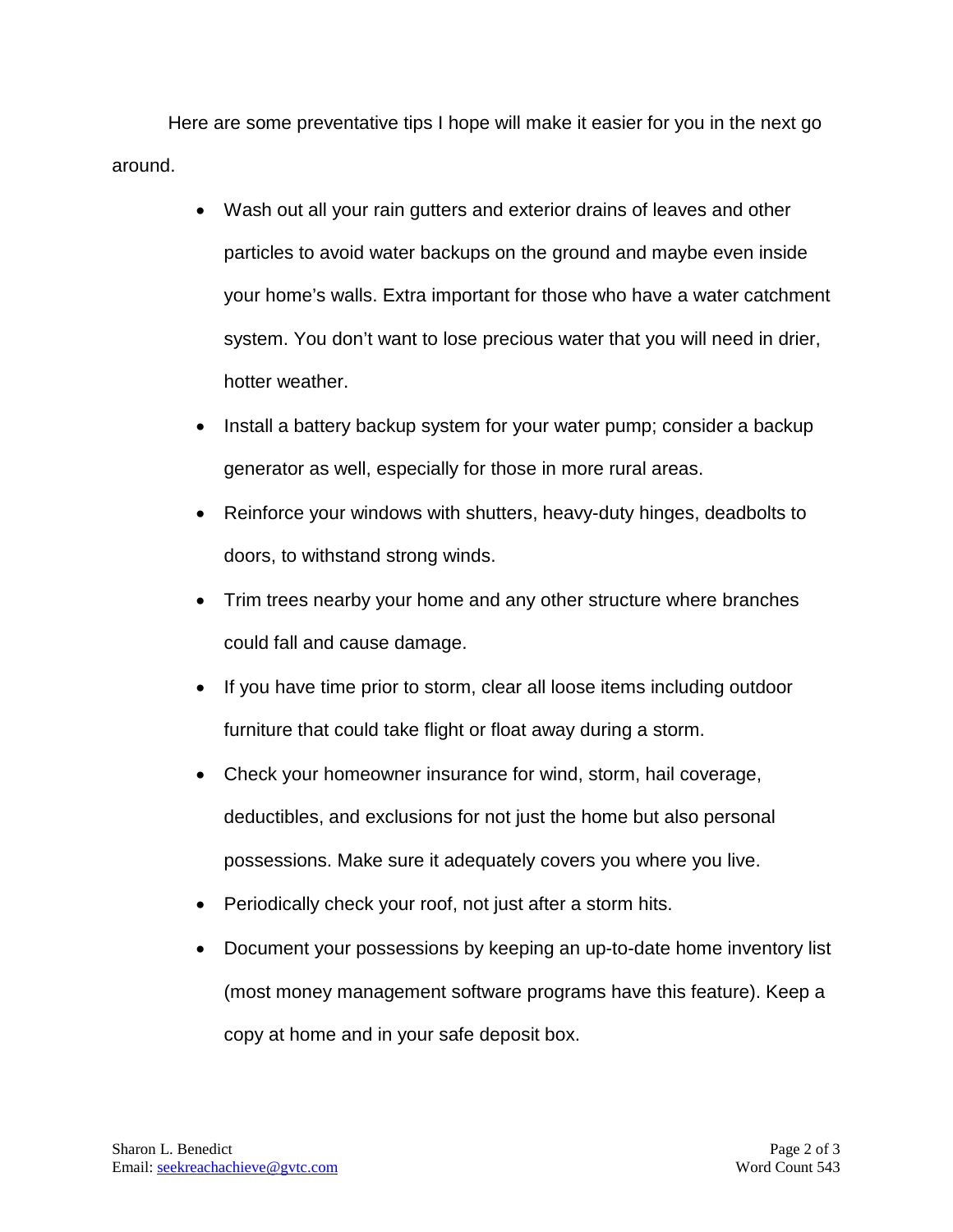Here are some preventative tips I hope will make it easier for you in the next go around.

- Wash out all your rain gutters and exterior drains of leaves and other particles to avoid water backups on the ground and maybe even inside your home's walls. Extra important for those who have a water catchment system. You don't want to lose precious water that you will need in drier, hotter weather.
- Install a battery backup system for your water pump; consider a backup generator as well, especially for those in more rural areas.
- Reinforce your windows with shutters, heavy-duty hinges, deadbolts to doors, to withstand strong winds.
- Trim trees nearby your home and any other structure where branches could fall and cause damage.
- If you have time prior to storm, clear all loose items including outdoor furniture that could take flight or float away during a storm.
- Check your homeowner insurance for wind, storm, hail coverage, deductibles, and exclusions for not just the home but also personal possessions. Make sure it adequately covers you where you live.
- Periodically check your roof, not just after a storm hits.
- Document your possessions by keeping an up-to-date home inventory list (most money management software programs have this feature). Keep a copy at home and in your safe deposit box.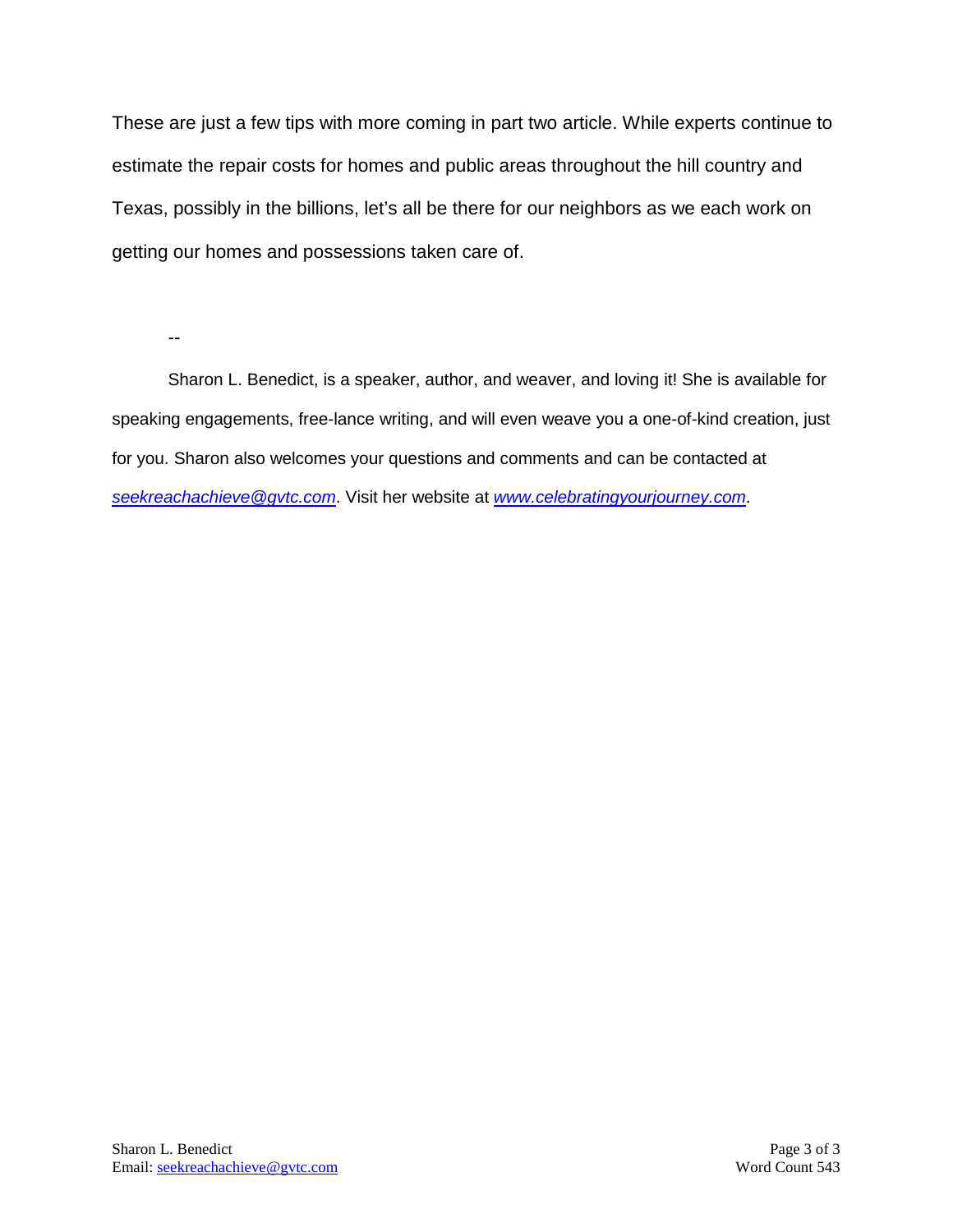These are just a few tips with more coming in part two article. While experts continue to estimate the repair costs for homes and public areas throughout the hill country and Texas, possibly in the billions, let's all be there for our neighbors as we each work on getting our homes and possessions taken care of.

--

Sharon L. Benedict, is a speaker, author, and weaver, and loving it! She is available for speaking engagements, free-lance writing, and will even weave you a one-of-kind creation, just for you. Sharon also welcomes your questions and comments and can be contacted at *[seekreachachieve@gvtc.com](mailto:seekreachachieve@gvtc.com)*. Visit her website at *[www.celebratingyourjourney.com](http://www.celebratingyourjourney.com/)*.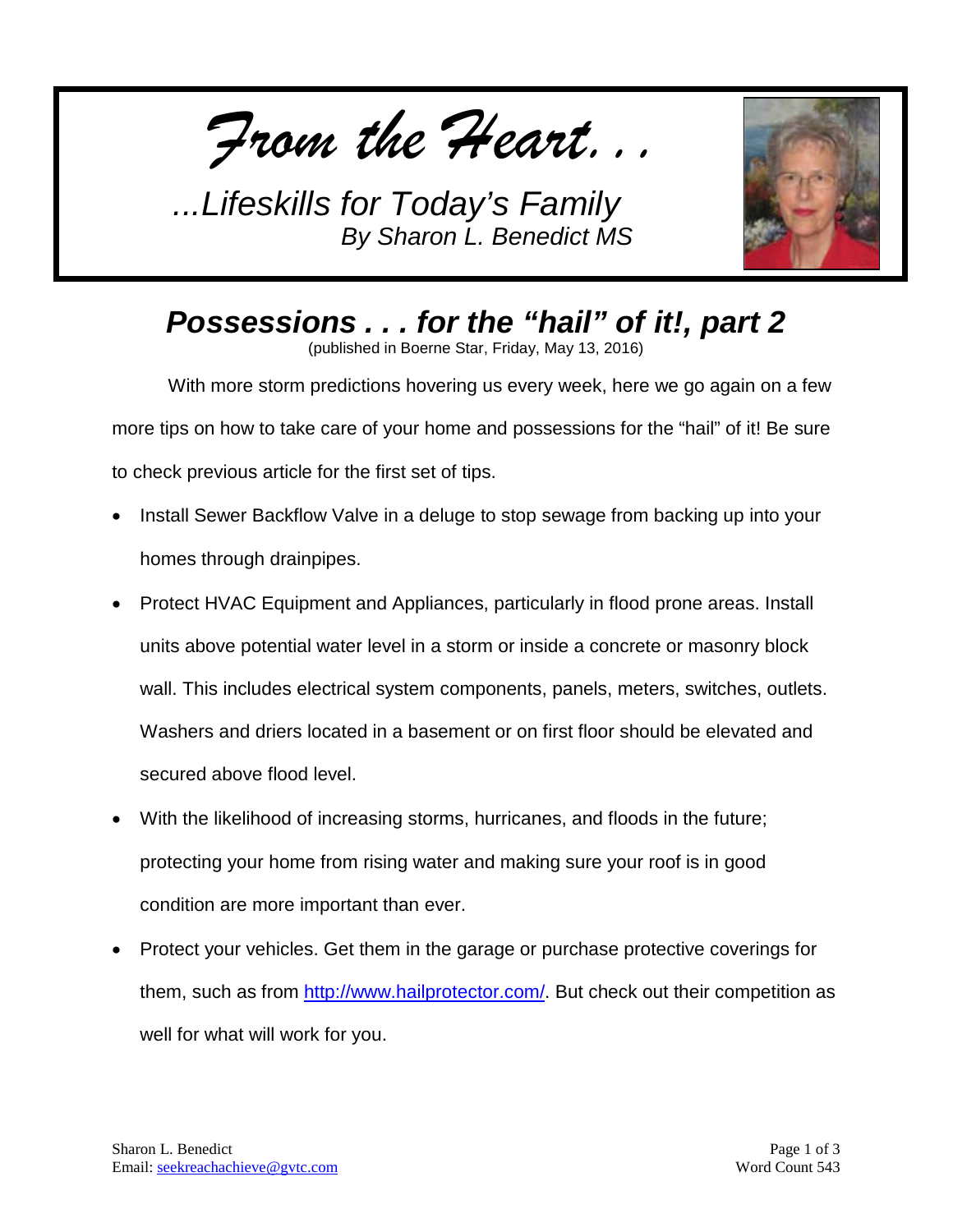*From the Heart...*



*Possessions . . . for the "hail" of it!, part 2* (published in Boerne Star, Friday, May 13, 2016)

With more storm predictions hovering us every week, here we go again on a few more tips on how to take care of your home and possessions for the "hail" of it! Be sure to check previous article for the first set of tips.

- Install Sewer Backflow Valve in a deluge to stop sewage from backing up into your homes through drainpipes.
- Protect HVAC Equipment and Appliances, particularly in flood prone areas. Install units above potential water level in a storm or inside a concrete or masonry block wall. This includes electrical system components, panels, meters, switches, outlets. Washers and driers located in a basement or on first floor should be elevated and secured above flood level.
- With the likelihood of increasing storms, hurricanes, and floods in the future; protecting your home from rising water and making sure your roof is in good condition are more important than ever.
- Protect your vehicles. Get them in the garage or purchase protective coverings for them, such as from [http://www.hailprotector.com/.](http://www.hailprotector.com/) But check out their competition as well for what will work for you.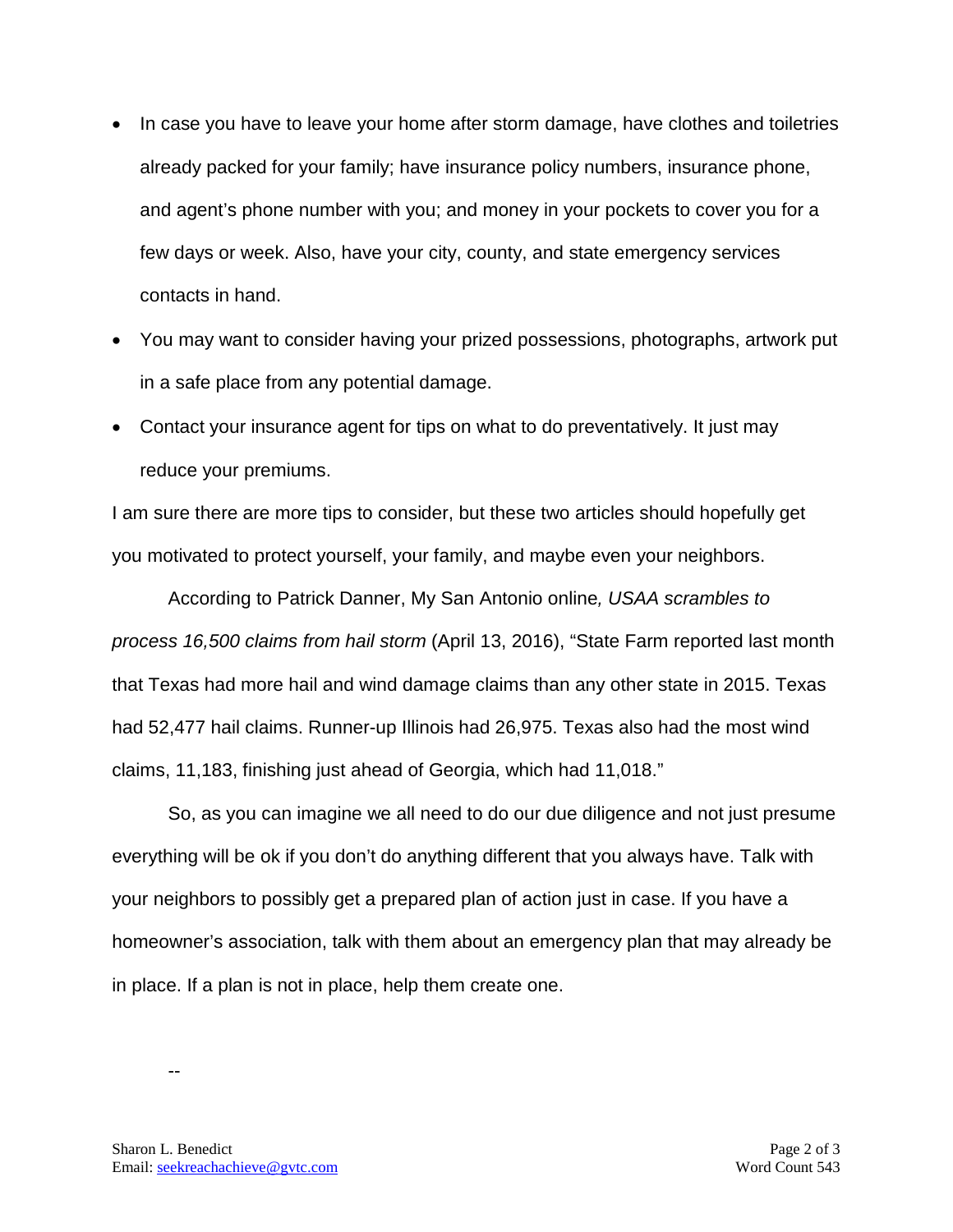- In case you have to leave your home after storm damage, have clothes and toiletries already packed for your family; have insurance policy numbers, insurance phone, and agent's phone number with you; and money in your pockets to cover you for a few days or week. Also, have your city, county, and state emergency services contacts in hand.
- You may want to consider having your prized possessions, photographs, artwork put in a safe place from any potential damage.
- Contact your insurance agent for tips on what to do preventatively. It just may reduce your premiums.

I am sure there are more tips to consider, but these two articles should hopefully get you motivated to protect yourself, your family, and maybe even your neighbors.

According to Patrick Danner, My San Antonio online*, USAA scrambles to process 16,500 claims from hail storm* (April 13, 2016), "State Farm reported last month that Texas had more hail and wind damage claims than any other state in 2015. Texas had 52,477 hail claims. Runner-up Illinois had 26,975. Texas also had the most wind claims, 11,183, finishing just ahead of Georgia, which had 11,018."

So, as you can imagine we all need to do our due diligence and not just presume everything will be ok if you don't do anything different that you always have. Talk with your neighbors to possibly get a prepared plan of action just in case. If you have a homeowner's association, talk with them about an emergency plan that may already be in place. If a plan is not in place, help them create one.

--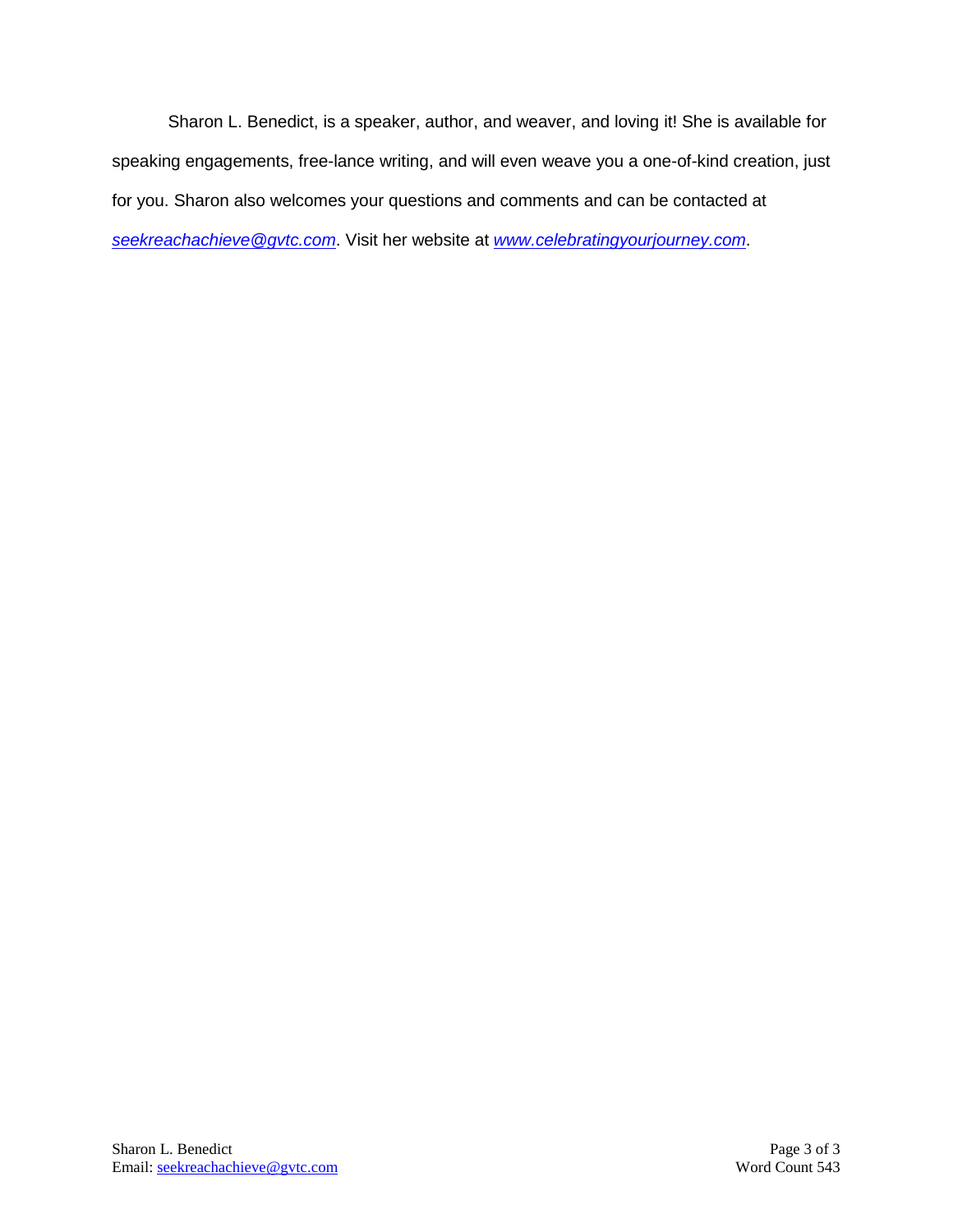Sharon L. Benedict, is a speaker, author, and weaver, and loving it! She is available for speaking engagements, free-lance writing, and will even weave you a one-of-kind creation, just for you. Sharon also welcomes your questions and comments and can be contacted at *[seekreachachieve@gvtc.com](mailto:seekreachachieve@gvtc.com)*. Visit her website at *[www.celebratingyourjourney.com](http://www.celebratingyourjourney.com/)*.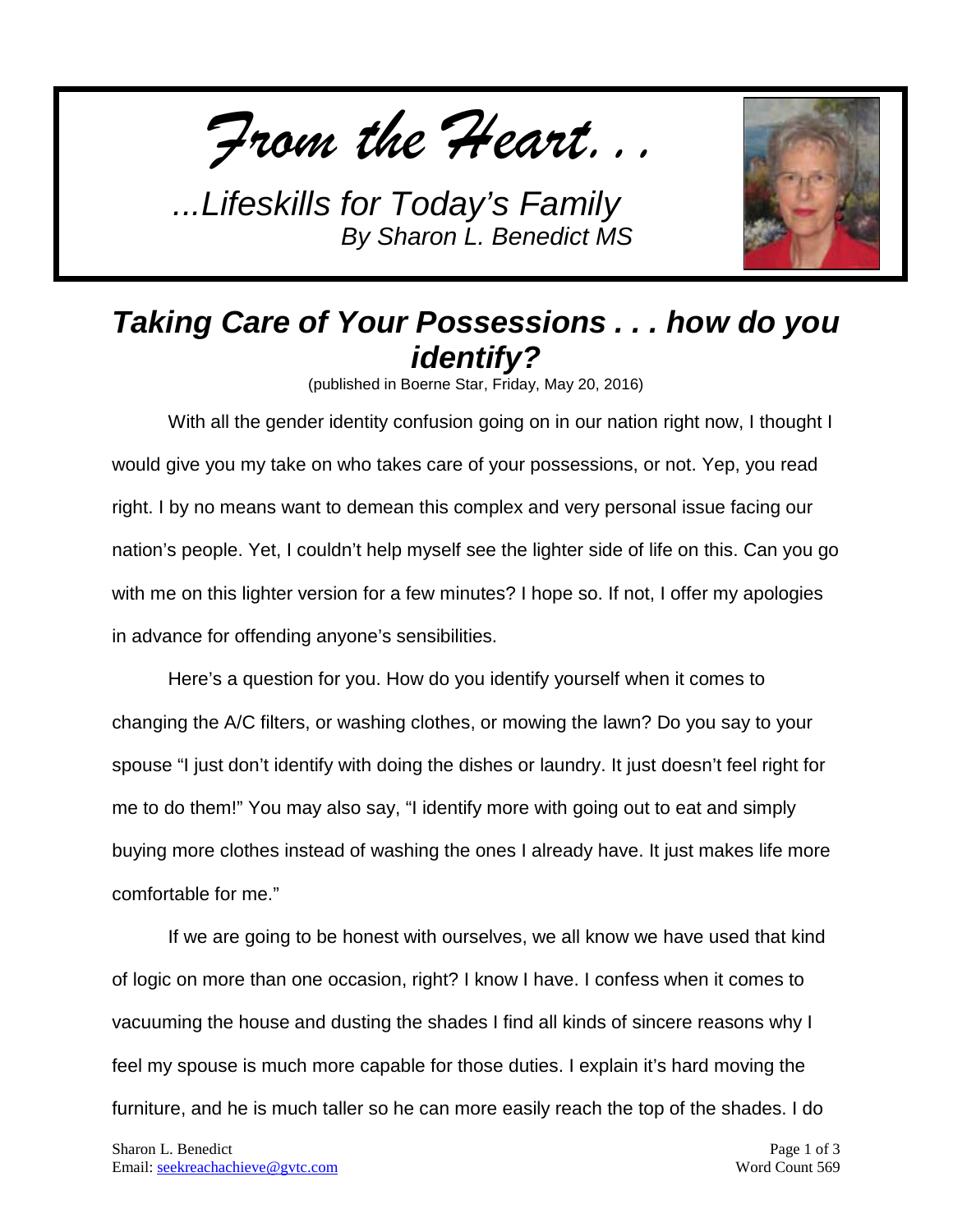*From the Heart...*



## *Taking Care of Your Possessions . . . how do you identify?*

(published in Boerne Star, Friday, May 20, 2016)

With all the gender identity confusion going on in our nation right now, I thought I would give you my take on who takes care of your possessions, or not. Yep, you read right. I by no means want to demean this complex and very personal issue facing our nation's people. Yet, I couldn't help myself see the lighter side of life on this. Can you go with me on this lighter version for a few minutes? I hope so. If not, I offer my apologies in advance for offending anyone's sensibilities.

Here's a question for you. How do you identify yourself when it comes to changing the A/C filters, or washing clothes, or mowing the lawn? Do you say to your spouse "I just don't identify with doing the dishes or laundry. It just doesn't feel right for me to do them!" You may also say, "I identify more with going out to eat and simply buying more clothes instead of washing the ones I already have. It just makes life more comfortable for me."

If we are going to be honest with ourselves, we all know we have used that kind of logic on more than one occasion, right? I know I have. I confess when it comes to vacuuming the house and dusting the shades I find all kinds of sincere reasons why I feel my spouse is much more capable for those duties. I explain it's hard moving the furniture, and he is much taller so he can more easily reach the top of the shades. I do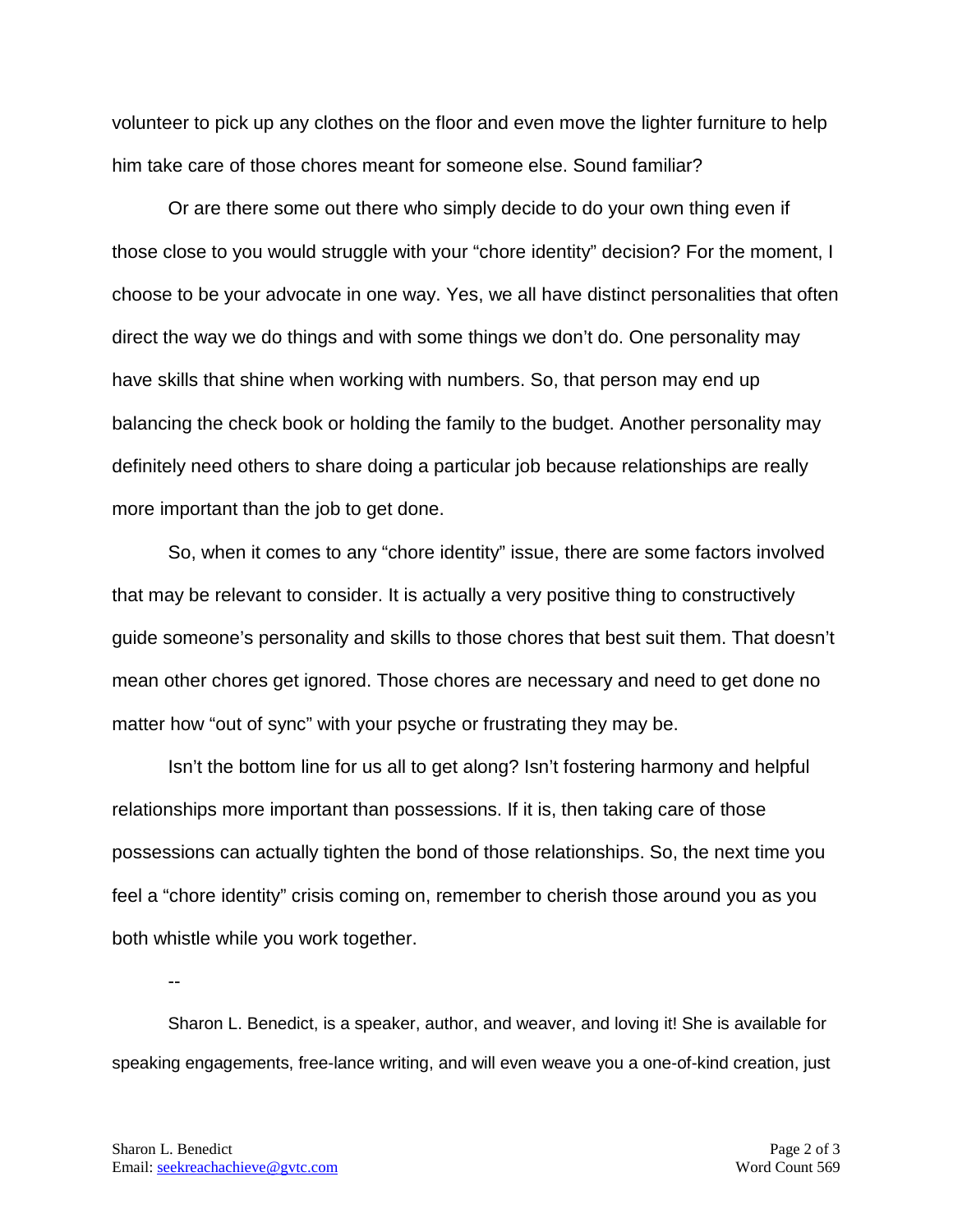volunteer to pick up any clothes on the floor and even move the lighter furniture to help him take care of those chores meant for someone else. Sound familiar?

Or are there some out there who simply decide to do your own thing even if those close to you would struggle with your "chore identity" decision? For the moment, I choose to be your advocate in one way. Yes, we all have distinct personalities that often direct the way we do things and with some things we don't do. One personality may have skills that shine when working with numbers. So, that person may end up balancing the check book or holding the family to the budget. Another personality may definitely need others to share doing a particular job because relationships are really more important than the job to get done.

So, when it comes to any "chore identity" issue, there are some factors involved that may be relevant to consider. It is actually a very positive thing to constructively guide someone's personality and skills to those chores that best suit them. That doesn't mean other chores get ignored. Those chores are necessary and need to get done no matter how "out of sync" with your psyche or frustrating they may be.

Isn't the bottom line for us all to get along? Isn't fostering harmony and helpful relationships more important than possessions. If it is, then taking care of those possessions can actually tighten the bond of those relationships. So, the next time you feel a "chore identity" crisis coming on, remember to cherish those around you as you both whistle while you work together.

Sharon L. Benedict, is a speaker, author, and weaver, and loving it! She is available for speaking engagements, free-lance writing, and will even weave you a one-of-kind creation, just

--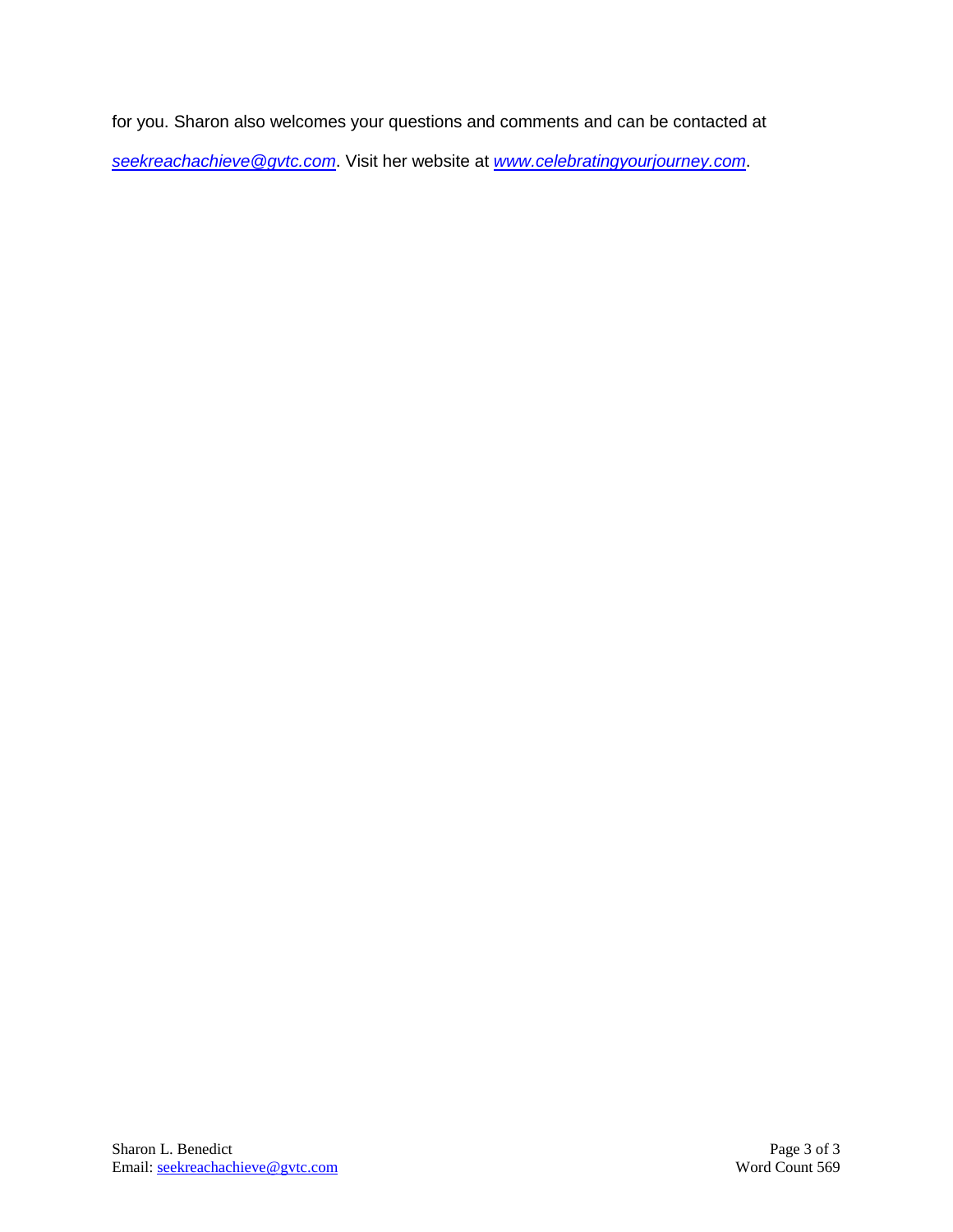for you. Sharon also welcomes your questions and comments and can be contacted at *[seekreachachieve@gvtc.com](mailto:seekreachachieve@gvtc.com)*. Visit her website at *[www.celebratingyourjourney.com](http://www.celebratingyourjourney.com/)*.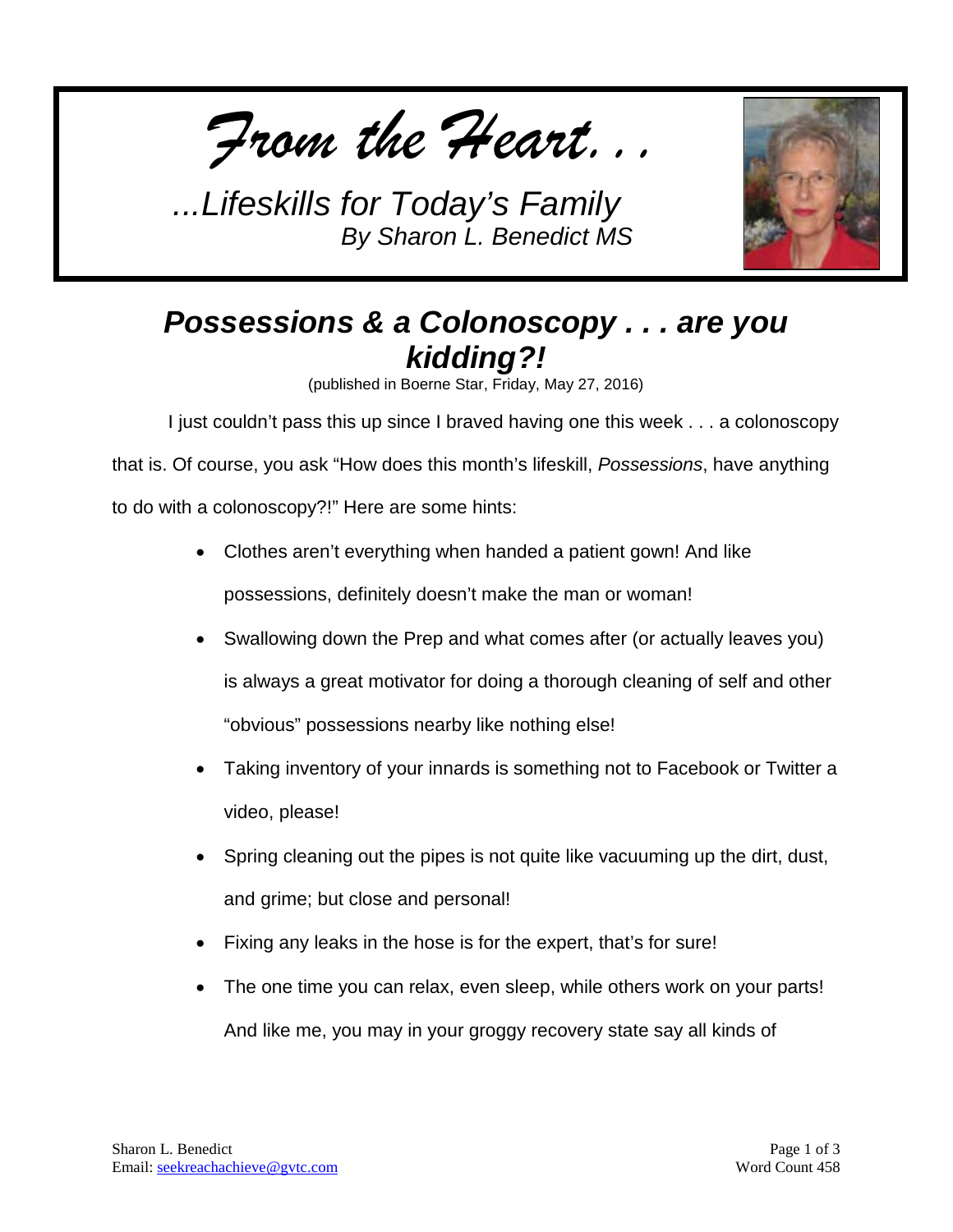*From the Heart...*



## *Possessions & a Colonoscopy . . . are you kidding?!*

(published in Boerne Star, Friday, May 27, 2016)

I just couldn't pass this up since I braved having one this week . . . a colonoscopy

that is. Of course, you ask "How does this month's lifeskill, *Possessions*, have anything to do with a colonoscopy?!" Here are some hints:

- Clothes aren't everything when handed a patient gown! And like possessions, definitely doesn't make the man or woman!
- Swallowing down the Prep and what comes after (or actually leaves you) is always a great motivator for doing a thorough cleaning of self and other "obvious" possessions nearby like nothing else!
- Taking inventory of your innards is something not to Facebook or Twitter a video, please!
- Spring cleaning out the pipes is not quite like vacuuming up the dirt, dust, and grime; but close and personal!
- Fixing any leaks in the hose is for the expert, that's for sure!
- The one time you can relax, even sleep, while others work on your parts! And like me, you may in your groggy recovery state say all kinds of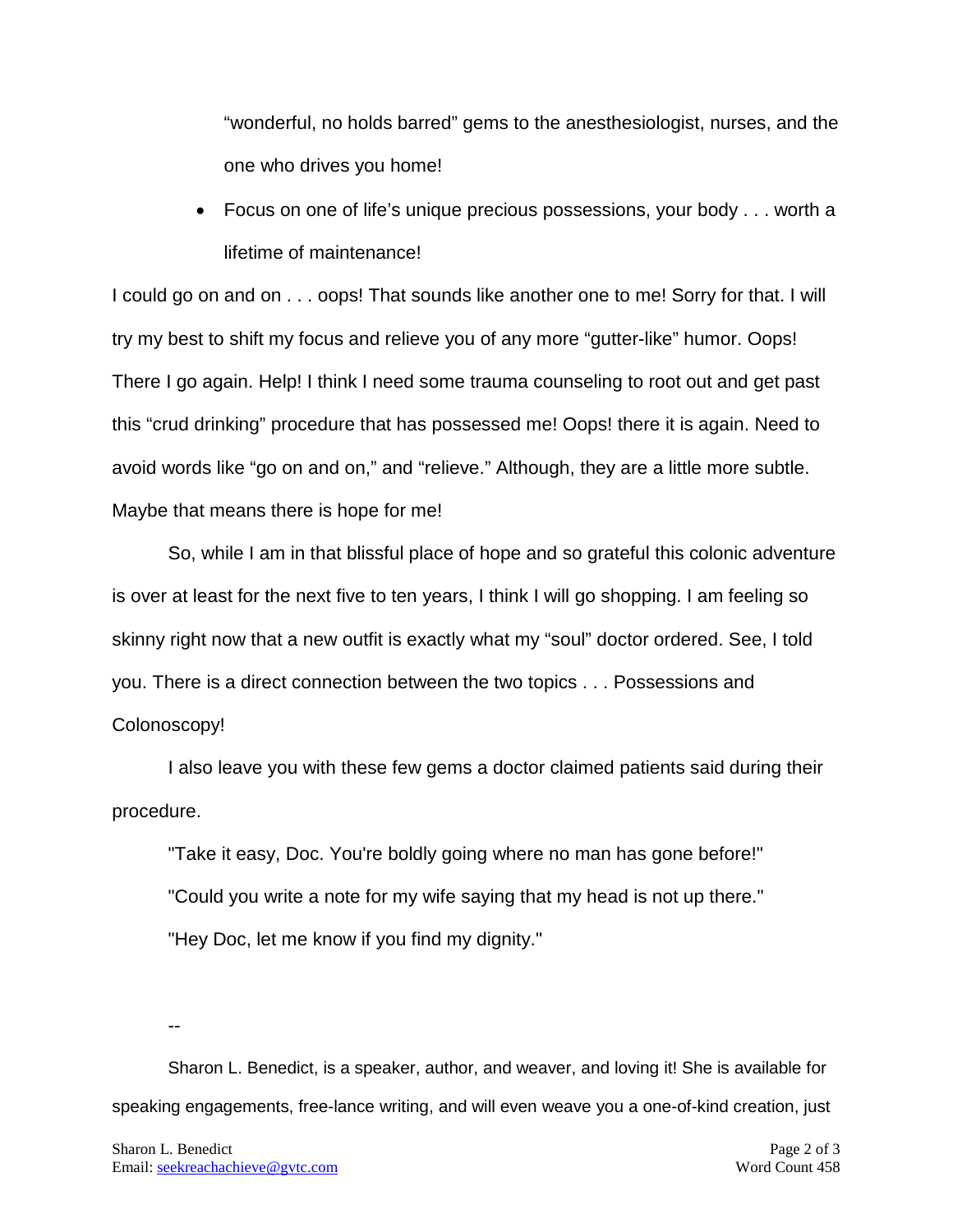"wonderful, no holds barred" gems to the anesthesiologist, nurses, and the one who drives you home!

• Focus on one of life's unique precious possessions, your body . . . worth a lifetime of maintenance!

I could go on and on . . . oops! That sounds like another one to me! Sorry for that. I will try my best to shift my focus and relieve you of any more "gutter-like" humor. Oops! There I go again. Help! I think I need some trauma counseling to root out and get past this "crud drinking" procedure that has possessed me! Oops! there it is again. Need to avoid words like "go on and on," and "relieve." Although, they are a little more subtle. Maybe that means there is hope for me!

So, while I am in that blissful place of hope and so grateful this colonic adventure is over at least for the next five to ten years, I think I will go shopping. I am feeling so skinny right now that a new outfit is exactly what my "soul" doctor ordered. See, I told you. There is a direct connection between the two topics . . . Possessions and Colonoscopy!

I also leave you with these few gems a doctor claimed patients said during their procedure.

"Take it easy, Doc. You're boldly going where no man has gone before!" "Could you write a note for my wife saying that my head is not up there." "Hey Doc, let me know if you find my dignity."

--

Sharon L. Benedict, is a speaker, author, and weaver, and loving it! She is available for speaking engagements, free-lance writing, and will even weave you a one-of-kind creation, just